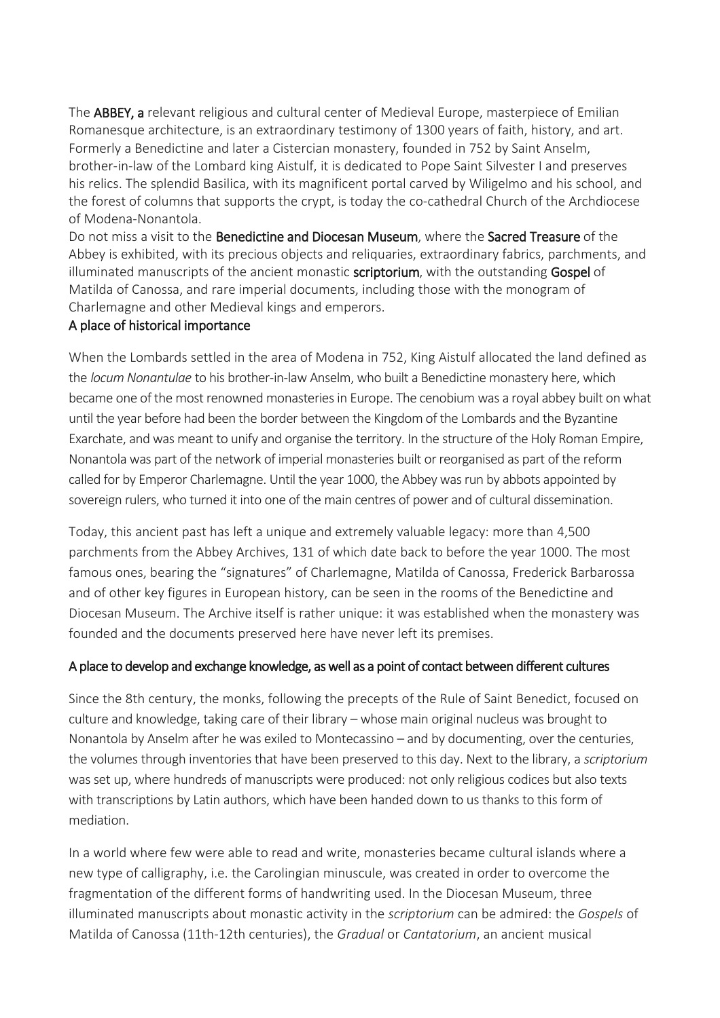The ABBEY, a relevant religious and cultural center of Medieval Europe, masterpiece of Emilian Romanesque architecture, is an extraordinary testimony of 1300 years of faith, history, and art. Formerly a Benedictine and later a Cistercian monastery, founded in 752 by Saint Anselm, brother-in-law of the Lombard king Aistulf, it is dedicated to Pope Saint Silvester I and preserves his relics. The splendid Basilica, with its magnificent portal carved by Wiligelmo and his school, and the forest of columns that supports the crypt, is today the co-cathedral Church of the Archdiocese of Modena-Nonantola.

Do not miss a visit to the Benedictine and Diocesan Museum, where the Sacred Treasure of the Abbey is exhibited, with its precious objects and reliquaries, extraordinary fabrics, parchments, and illuminated manuscripts of the ancient monastic scriptorium, with the outstanding Gospel of Matilda of Canossa, and rare imperial documents, including those with the monogram of Charlemagne and other Medieval kings and emperors.

#### A place of historical importance

When the Lombards settled in the area of Modena in 752, King Aistulf allocated the land defined as the *locum Nonantulae* to his brother-in-law Anselm, who built a Benedictine monastery here, which became one of the most renowned monasteries in Europe. The cenobium was a royal abbey built on what until the year before had been the border between the Kingdom of the Lombards and the Byzantine Exarchate, and was meant to unify and organise the territory. In the structure of the Holy Roman Empire, Nonantola was part of the network of imperial monasteries built or reorganised as part of the reform called for by Emperor Charlemagne. Until the year 1000, the Abbey was run by abbots appointed by sovereign rulers, who turned it into one of the main centres of power and of cultural dissemination.

Today, this ancient past has left a unique and extremely valuable legacy: more than 4,500 parchments from the Abbey Archives, 131 of which date back to before the year 1000. The most famous ones, bearing the "signatures" of Charlemagne, Matilda of Canossa, Frederick Barbarossa and of other key figures in European history, can be seen in the rooms of the Benedictine and Diocesan Museum. The Archive itself is rather unique: it was established when the monastery was founded and the documents preserved here have never left its premises.

#### A place to develop and exchange knowledge, as well as a point of contact between different cultures

Since the 8th century, the monks, following the precepts of the Rule of Saint Benedict, focused on culture and knowledge, taking care of their library – whose main original nucleus was brought to Nonantola by Anselm after he was exiled to Montecassino – and by documenting, over the centuries, the volumes through inventories that have been preserved to this day. Next to the library, a *scriptorium* was set up, where hundreds of manuscripts were produced: not only religious codices but also texts with transcriptions by Latin authors, which have been handed down to us thanks to this form of mediation.

In a world where few were able to read and write, monasteries became cultural islands where a new type of calligraphy, i.e. the Carolingian minuscule, was created in order to overcome the fragmentation of the different forms of handwriting used. In the Diocesan Museum, three illuminated manuscripts about monastic activity in the *scriptorium* can be admired: the *Gospels* of Matilda of Canossa (11th-12th centuries), the *Gradual* or *Cantatorium*, an ancient musical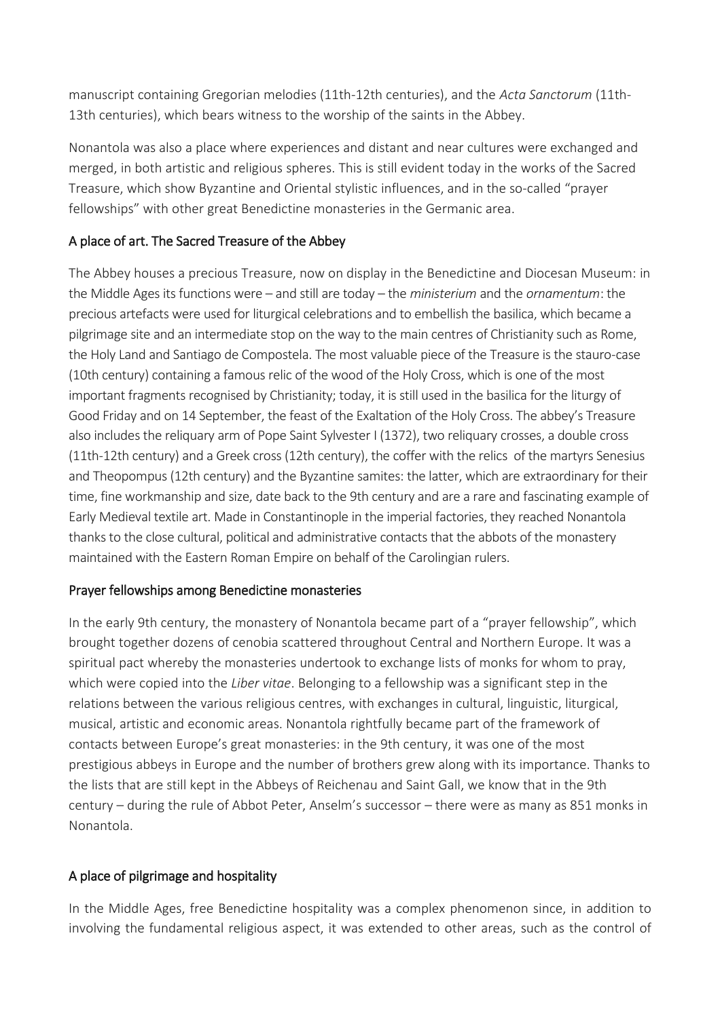manuscript containing Gregorian melodies (11th-12th centuries), and the *Acta Sanctorum* (11th-13th centuries), which bears witness to the worship of the saints in the Abbey.

Nonantola was also a place where experiences and distant and near cultures were exchanged and merged, in both artistic and religious spheres. This is still evident today in the works of the Sacred Treasure, which show Byzantine and Oriental stylistic influences, and in the so-called "prayer fellowships" with other great Benedictine monasteries in the Germanic area.

# A place of art. The Sacred Treasure of the Abbey

The Abbey houses a precious Treasure, now on display in the Benedictine and Diocesan Museum: in the Middle Ages its functions were – and still are today – the *ministerium* and the *ornamentum*: the precious artefacts were used for liturgical celebrations and to embellish the basilica, which became a pilgrimage site and an intermediate stop on the way to the main centres of Christianity such as Rome, the Holy Land and Santiago de Compostela. The most valuable piece of the Treasure is the stauro-case (10th century) containing a famous relic of the wood of the Holy Cross, which is one of the most important fragments recognised by Christianity; today, it is still used in the basilica for the liturgy of Good Friday and on 14 September, the feast of the Exaltation of the Holy Cross. The abbey's Treasure also includes the reliquary arm of Pope Saint Sylvester I (1372), two reliquary crosses, a double cross (11th-12th century) and a Greek cross (12th century), the coffer with the relics of the martyrs Senesius and Theopompus (12th century) and the Byzantine samites: the latter, which are extraordinary for their time, fine workmanship and size, date back to the 9th century and are a rare and fascinating example of Early Medieval textile art. Made in Constantinople in the imperial factories, they reached Nonantola thanks to the close cultural, political and administrative contacts that the abbots of the monastery maintained with the Eastern Roman Empire on behalf of the Carolingian rulers.

### Prayer fellowships among Benedictine monasteries

In the early 9th century, the monastery of Nonantola became part of a "prayer fellowship", which brought together dozens of cenobia scattered throughout Central and Northern Europe. It was a spiritual pact whereby the monasteries undertook to exchange lists of monks for whom to pray, which were copied into the *Liber vitae*. Belonging to a fellowship was a significant step in the relations between the various religious centres, with exchanges in cultural, linguistic, liturgical, musical, artistic and economic areas. Nonantola rightfully became part of the framework of contacts between Europe's great monasteries: in the 9th century, it was one of the most prestigious abbeys in Europe and the number of brothers grew along with its importance. Thanks to the lists that are still kept in the Abbeys of Reichenau and Saint Gall, we know that in the 9th century – during the rule of Abbot Peter, Anselm's successor – there were as many as 851 monks in Nonantola.

# A place of pilgrimage and hospitality

In the Middle Ages, free Benedictine hospitality was a complex phenomenon since, in addition to involving the fundamental religious aspect, it was extended to other areas, such as the control of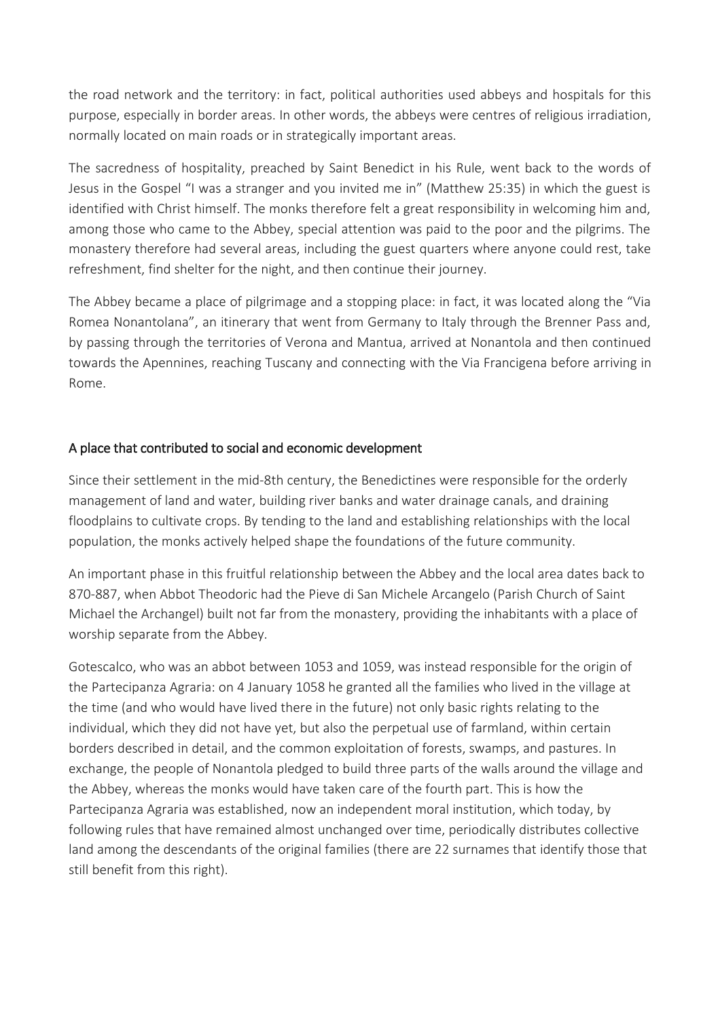the road network and the territory: in fact, political authorities used abbeys and hospitals for this purpose, especially in border areas. In other words, the abbeys were centres of religious irradiation, normally located on main roads or in strategically important areas.

The sacredness of hospitality, preached by Saint Benedict in his Rule, went back to the words of Jesus in the Gospel "I was a stranger and you invited me in" (Matthew 25:35) in which the guest is identified with Christ himself. The monks therefore felt a great responsibility in welcoming him and, among those who came to the Abbey, special attention was paid to the poor and the pilgrims. The monastery therefore had several areas, including the guest quarters where anyone could rest, take refreshment, find shelter for the night, and then continue their journey.

The Abbey became a place of pilgrimage and a stopping place: in fact, it was located along the "Via Romea Nonantolana", an itinerary that went from Germany to Italy through the Brenner Pass and, by passing through the territories of Verona and Mantua, arrived at Nonantola and then continued towards the Apennines, reaching Tuscany and connecting with the Via Francigena before arriving in Rome.

## A place that contributed to social and economic development

Since their settlement in the mid-8th century, the Benedictines were responsible for the orderly management of land and water, building river banks and water drainage canals, and draining floodplains to cultivate crops. By tending to the land and establishing relationships with the local population, the monks actively helped shape the foundations of the future community.

An important phase in this fruitful relationship between the Abbey and the local area dates back to 870-887, when Abbot Theodoric had the Pieve di San Michele Arcangelo (Parish Church of Saint Michael the Archangel) built not far from the monastery, providing the inhabitants with a place of worship separate from the Abbey.

Gotescalco, who was an abbot between 1053 and 1059, was instead responsible for the origin of the Partecipanza Agraria: on 4 January 1058 he granted all the families who lived in the village at the time (and who would have lived there in the future) not only basic rights relating to the individual, which they did not have yet, but also the perpetual use of farmland, within certain borders described in detail, and the common exploitation of forests, swamps, and pastures. In exchange, the people of Nonantola pledged to build three parts of the walls around the village and the Abbey, whereas the monks would have taken care of the fourth part. This is how the Partecipanza Agraria was established, now an independent moral institution, which today, by following rules that have remained almost unchanged over time, periodically distributes collective land among the descendants of the original families (there are 22 surnames that identify those that still benefit from this right).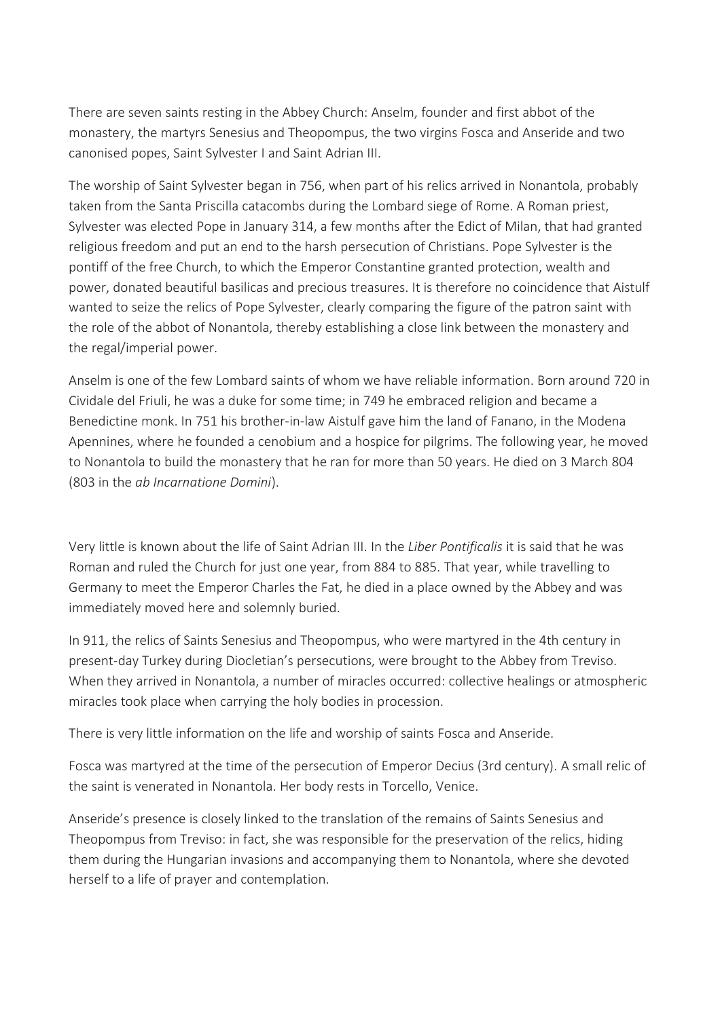There are seven saints resting in the Abbey Church: Anselm, founder and first abbot of the monastery, the martyrs Senesius and Theopompus, the two virgins Fosca and Anseride and two canonised popes, Saint Sylvester I and Saint Adrian III.

The worship of Saint Sylvester began in 756, when part of his relics arrived in Nonantola, probably taken from the Santa Priscilla catacombs during the Lombard siege of Rome. A Roman priest, Sylvester was elected Pope in January 314, a few months after the Edict of Milan, that had granted religious freedom and put an end to the harsh persecution of Christians. Pope Sylvester is the pontiff of the free Church, to which the Emperor Constantine granted protection, wealth and power, donated beautiful basilicas and precious treasures. It is therefore no coincidence that Aistulf wanted to seize the relics of Pope Sylvester, clearly comparing the figure of the patron saint with the role of the abbot of Nonantola, thereby establishing a close link between the monastery and the regal/imperial power.

Anselm is one of the few Lombard saints of whom we have reliable information. Born around 720 in Cividale del Friuli, he was a duke for some time; in 749 he embraced religion and became a Benedictine monk. In 751 his brother-in-law Aistulf gave him the land of Fanano, in the Modena Apennines, where he founded a cenobium and a hospice for pilgrims. The following year, he moved to Nonantola to build the monastery that he ran for more than 50 years. He died on 3 March 804 (803 in the *ab Incarnatione Domini*).

Very little is known about the life of Saint Adrian III. In the *Liber Pontificalis* it is said that he was Roman and ruled the Church for just one year, from 884 to 885. That year, while travelling to Germany to meet the Emperor Charles the Fat, he died in a place owned by the Abbey and was immediately moved here and solemnly buried.

In 911, the relics of Saints Senesius and Theopompus, who were martyred in the 4th century in present-day Turkey during Diocletian's persecutions, were brought to the Abbey from Treviso. When they arrived in Nonantola, a number of miracles occurred: collective healings or atmospheric miracles took place when carrying the holy bodies in procession.

There is very little information on the life and worship of saints Fosca and Anseride.

Fosca was martyred at the time of the persecution of Emperor Decius (3rd century). A small relic of the saint is venerated in Nonantola. Her body rests in Torcello, Venice.

Anseride's presence is closely linked to the translation of the remains of Saints Senesius and Theopompus from Treviso: in fact, she was responsible for the preservation of the relics, hiding them during the Hungarian invasions and accompanying them to Nonantola, where she devoted herself to a life of prayer and contemplation.